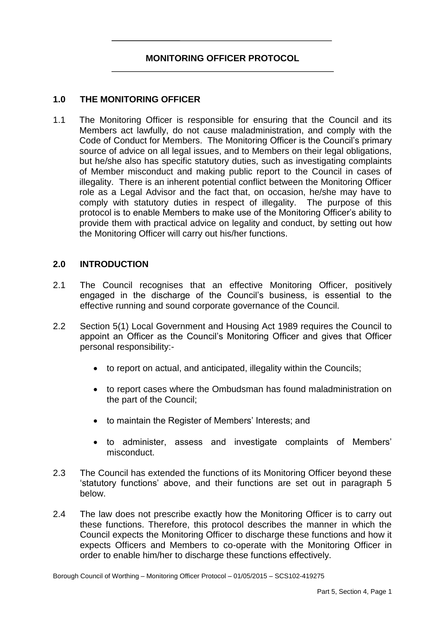# **MONITORING OFFICER PROTOCOL**

## **1.0 THE MONITORING OFFICER**

 $11$  Members act lawfully, do not cause maladministration, and comply with the Code of Conduct for Members. The Monitoring Officer is the Council's primary source of advice on all legal issues, and to Members on their legal obligations, but he/she also has specific statutory duties, such as investigating complaints of Member misconduct and making public report to the Council in cases of illegality. There is an inherent potential conflict between the Monitoring Officer role as a Legal Advisor and the fact that, on occasion, he/she may have to comply with statutory duties in respect of illegality. The purpose of this protocol is to enable Members to make use of the Monitoring Officer's ability to provide them with practical advice on legality and conduct, by setting out how The Monitoring Officer is responsible for ensuring that the Council and its the Monitoring Officer will carry out his/her functions.

## **2.0 INTRODUCTION**

- $21$  engaged in the discharge of the Council's business, is essential to the The Council recognises that an effective Monitoring Officer, positively effective running and sound corporate governance of the Council.
- $2.2$  appoint an Officer as the Council's Monitoring Officer and gives that Officer Section 5(1) Local Government and Housing Act 1989 requires the Council to personal responsibility:
	- to report on actual, and anticipated, illegality within the Councils;
	- to report cases where the Ombudsman has found maladministration on the part of the Council;
	- to maintain the Register of Members' Interests; and
	- to administer, assess and investigate complaints of Members' misconduct.
- 2.3 'statutory functions' above, and their functions are set out in paragraph 5 The Council has extended the functions of its Monitoring Officer beyond these below.
- $2.4$  these functions. Therefore, this protocol describes the manner in which the Council expects the Monitoring Officer to discharge these functions and how it expects Officers and Members to co-operate with the Monitoring Officer in The law does not prescribe exactly how the Monitoring Officer is to carry out order to enable him/her to discharge these functions effectively.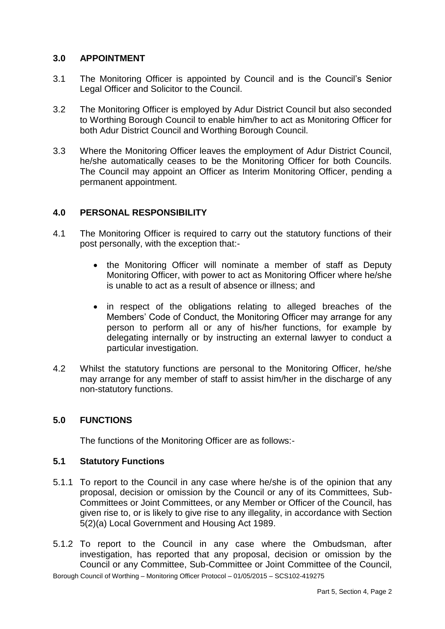# **3.0 APPOINTMENT**

- $3.1$ The Monitoring Officer is appointed by Council and is the Council's Senior Legal Officer and Solicitor to the Council.
- $32$  to Worthing Borough Council to enable him/her to act as Monitoring Officer for The Monitoring Officer is employed by Adur District Council but also seconded both Adur District Council and Worthing Borough Council.
- 3.3 Where the Monitoring Officer leaves the employment of Adur District Council, he/she automatically ceases to be the Monitoring Officer for both Councils. The Council may appoint an Officer as Interim Monitoring Officer, pending a permanent appointment.

# **4.0 PERSONAL RESPONSIBILITY**

- 41 The Monitoring Officer is required to carry out the statutory functions of their post personally, with the exception that:-
	- $\bullet$  the Monitoring Officer will nominate a member of staff as Deputy Monitoring Officer, with power to act as Monitoring Officer where he/she is unable to act as a result of absence or illness; and
	- in respect of the obligations relating to alleged breaches of the Members' Code of Conduct, the Monitoring Officer may arrange for any person to perform all or any of his/her functions, for example by delegating internally or by instructing an external lawyer to conduct a particular investigation.
- 4.2 Whilst the statutory functions are personal to the Monitoring Officer, he/she may arrange for any member of staff to assist him/her in the discharge of any non-statutory functions.

## **5.0 FUNCTIONS**

The functions of the Monitoring Officer are as follows:-

## **5.1 Statutory Functions**

- 5.1.1 To report to the Council in any case where he/she is of the opinion that any proposal, decision or omission by the Council or any of its Committees, Sub-Committees or Joint Committees, or any Member or Officer of the Council, has given rise to, or is likely to give rise to any illegality, in accordance with Section 5(2)(a) Local Government and Housing Act 1989.
- 5.1.2 To report to the Council in any case where the Ombudsman, after investigation, has reported that any proposal, decision or omission by the Council or any Committee, Sub-Committee or Joint Committee of the Council,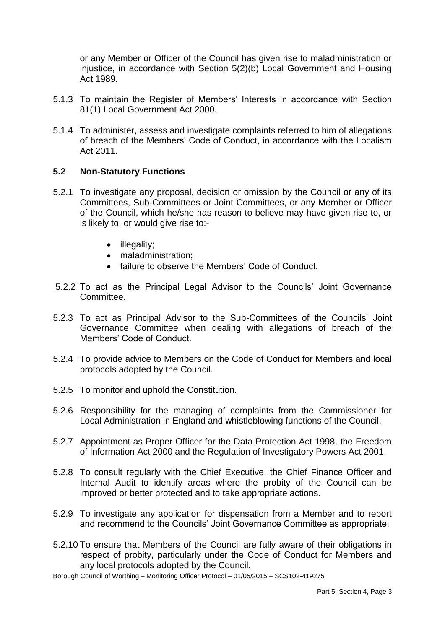or any Member or Officer of the Council has given rise to maladministration or injustice, in accordance with Section 5(2)(b) Local Government and Housing Act 1989.

- 5.1.3 To maintain the Register of Members' Interests in accordance with Section 81(1) Local Government Act 2000.
- of breach of the Members' Code of Conduct, in accordance with the Localism 5.1.4 To administer, assess and investigate complaints referred to him of allegations Act 2011.

## **5.2 Non-Statutory Functions**

- 5.2.1 To investigate any proposal, decision or omission by the Council or any of its Committees, Sub-Committees or Joint Committees, or any Member or Officer of the Council, which he/she has reason to believe may have given rise to, or is likely to, or would give rise to:-
	- illegality;
	- maladministration:
	- failure to observe the Members' Code of Conduct.
- 5.2.2 To act as the Principal Legal Advisor to the Councils' Joint Governance Committee.
- 5.2.3 To act as Principal Advisor to the Sub-Committees of the Councils' Joint Governance Committee when dealing with allegations of breach of the Members' Code of Conduct.
- 5.2.4 To provide advice to Members on the Code of Conduct for Members and local protocols adopted by the Council.
- 5.2.5 To monitor and uphold the Constitution.
- 5.2.6 Responsibility for the managing of complaints from the Commissioner for Local Administration in England and whistleblowing functions of the Council.
- 5.2.7 Appointment as Proper Officer for the Data Protection Act 1998, the Freedom of Information Act 2000 and the Regulation of Investigatory Powers Act 2001.
- 5.2.8 To consult regularly with the Chief Executive, the Chief Finance Officer and Internal Audit to identify areas where the probity of the Council can be improved or better protected and to take appropriate actions.
- 5.2.9 To investigate any application for dispensation from a Member and to report and recommend to the Councils' Joint Governance Committee as appropriate.
- 5.2.10 To ensure that Members of the Council are fully aware of their obligations in respect of probity, particularly under the Code of Conduct for Members and any local protocols adopted by the Council.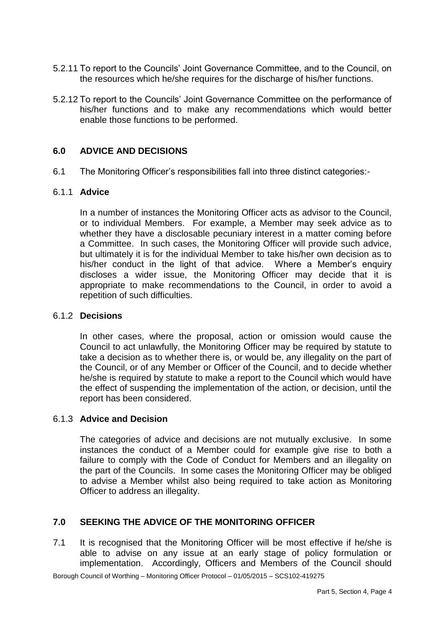- 5.2.11 To report to the Councils' Joint Governance Committee, and to the Council, on the resources which he/she requires for the discharge of his/her functions.
- 5.2.12 To report to the Councils' Joint Governance Committee on the performance of his/her functions and to make any recommendations which would better enable those functions to be performed.

## **6.0 ADVICE AND DECISIONS**

6.1 The Monitoring Officer's responsibilities fall into three distinct categories:-

#### 6.1.1 **Advice**

 In a number of instances the Monitoring Officer acts as advisor to the Council, or to individual Members. For example, a Member may seek advice as to whether they have a disclosable pecuniary interest in a matter coming before a Committee. In such cases, the Monitoring Officer will provide such advice, but ultimately it is for the individual Member to take his/her own decision as to his/her conduct in the light of that advice. Where a Member's enquiry discloses a wider issue, the Monitoring Officer may decide that it is appropriate to make recommendations to the Council, in order to avoid a repetition of such difficulties.

#### 6.1.2 **Decisions**

 In other cases, where the proposal, action or omission would cause the Council to act unlawfully, the Monitoring Officer may be required by statute to take a decision as to whether there is, or would be, any illegality on the part of the Council, or of any Member or Officer of the Council, and to decide whether he/she is required by statute to make a report to the Council which would have the effect of suspending the implementation of the action, or decision, until the report has been considered.

#### 6.1.3 **Advice and Decision**

 The categories of advice and decisions are not mutually exclusive. In some instances the conduct of a Member could for example give rise to both a failure to comply with the Code of Conduct for Members and an illegality on the part of the Councils. In some cases the Monitoring Officer may be obliged to advise a Member whilst also being required to take action as Monitoring Officer to address an illegality.

# **7.0 SEEKING THE ADVICE OF THE MONITORING OFFICER**

 $7.1$  able to advise on any issue at an early stage of policy formulation or implementation. Accordingly, Officers and Members of the Council should It is recognised that the Monitoring Officer will be most effective if he/she is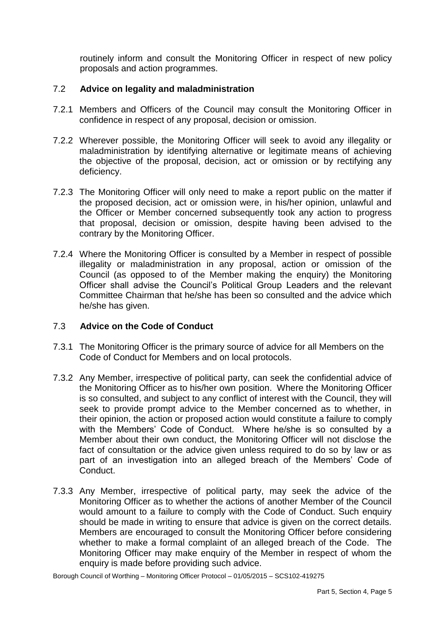routinely inform and consult the Monitoring Officer in respect of new policy proposals and action programmes.

# 7.2 **Advice on legality and maladministration**

- 7.2.1 Members and Officers of the Council may consult the Monitoring Officer in confidence in respect of any proposal, decision or omission.
- 7.2.2 Wherever possible, the Monitoring Officer will seek to avoid any illegality or maladministration by identifying alternative or legitimate means of achieving the objective of the proposal, decision, act or omission or by rectifying any deficiency.
- 7.2.3 The Monitoring Officer will only need to make a report public on the matter if the proposed decision, act or omission were, in his/her opinion, unlawful and the Officer or Member concerned subsequently took any action to progress that proposal, decision or omission, despite having been advised to the contrary by the Monitoring Officer.
- 7.2.4 Where the Monitoring Officer is consulted by a Member in respect of possible illegality or maladministration in any proposal, action or omission of the Council (as opposed to of the Member making the enquiry) the Monitoring Officer shall advise the Council's Political Group Leaders and the relevant Committee Chairman that he/she has been so consulted and the advice which he/she has given.

# 7.3 **Advice on the Code of Conduct**

- 7.3.1 The Monitoring Officer is the primary source of advice for all Members on the Code of Conduct for Members and on local protocols.
- 7.3.2 Any Member, irrespective of political party, can seek the confidential advice of the Monitoring Officer as to his/her own position. Where the Monitoring Officer seek to provide prompt advice to the Member concerned as to whether, in their opinion, the action or proposed action would constitute a failure to comply with the Members' Code of Conduct. Where he/she is so consulted by a Member about their own conduct, the Monitoring Officer will not disclose the fact of consultation or the advice given unless required to do so by law or as part of an investigation into an alleged breach of the Members' Code of is so consulted, and subject to any conflict of interest with the Council, they will Conduct.
- 7.3.3 Any Member, irrespective of political party, may seek the advice of the Monitoring Officer as to whether the actions of another Member of the Council would amount to a failure to comply with the Code of Conduct. Such enquiry should be made in writing to ensure that advice is given on the correct details. Members are encouraged to consult the Monitoring Officer before considering whether to make a formal complaint of an alleged breach of the Code. The Monitoring Officer may make enquiry of the Member in respect of whom the enquiry is made before providing such advice.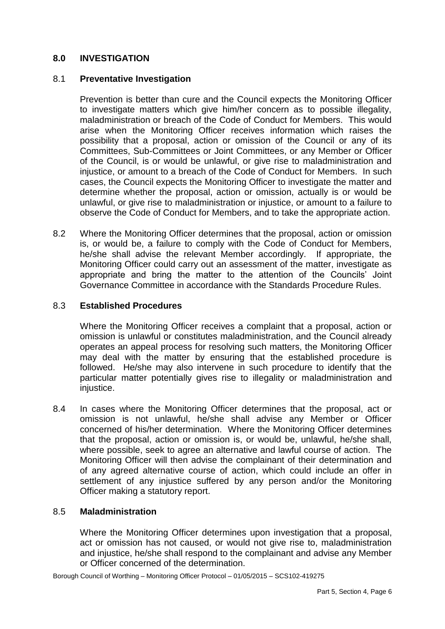# **8.0 INVESTIGATION**

#### 8.1 **Preventative Investigation**

 Prevention is better than cure and the Council expects the Monitoring Officer to investigate matters which give him/her concern as to possible illegality, maladministration or breach of the Code of Conduct for Members. This would arise when the Monitoring Officer receives information which raises the possibility that a proposal, action or omission of the Council or any of its Committees, Sub-Committees or Joint Committees, or any Member or Officer of the Council, is or would be unlawful, or give rise to maladministration and injustice, or amount to a breach of the Code of Conduct for Members. In such cases, the Council expects the Monitoring Officer to investigate the matter and unlawful, or give rise to maladministration or injustice, or amount to a failure to determine whether the proposal, action or omission, actually is or would be observe the Code of Conduct for Members, and to take the appropriate action.

 8.2 Where the Monitoring Officer determines that the proposal, action or omission is, or would be, a failure to comply with the Code of Conduct for Members, he/she shall advise the relevant Member accordingly. If appropriate, the Monitoring Officer could carry out an assessment of the matter, investigate as appropriate and bring the matter to the attention of the Councils' Joint Governance Committee in accordance with the Standards Procedure Rules.

#### 8.3 **Established Procedures**

 Where the Monitoring Officer receives a complaint that a proposal, action or omission is unlawful or constitutes maladministration, and the Council already operates an appeal process for resolving such matters, the Monitoring Officer may deal with the matter by ensuring that the established procedure is followed. He/she may also intervene in such procedure to identify that the particular matter potentially gives rise to illegality or maladministration and injustice.

 $8.4$  omission is not unlawful, he/she shall advise any Member or Officer concerned of his/her determination. Where the Monitoring Officer determines that the proposal, action or omission is, or would be, unlawful, he/she shall, where possible, seek to agree an alternative and lawful course of action. The Monitoring Officer will then advise the complainant of their determination and of any agreed alternative course of action, which could include an offer in settlement of any injustice suffered by any person and/or the Monitoring 8.4 In cases where the Monitoring Officer determines that the proposal, act or Officer making a statutory report.

#### 8.5 **Maladministration**

 Where the Monitoring Officer determines upon investigation that a proposal, act or omission has not caused, or would not give rise to, maladministration or Officer concerned of the determination. and iniustice, he/she shall respond to the complainant and advise any Member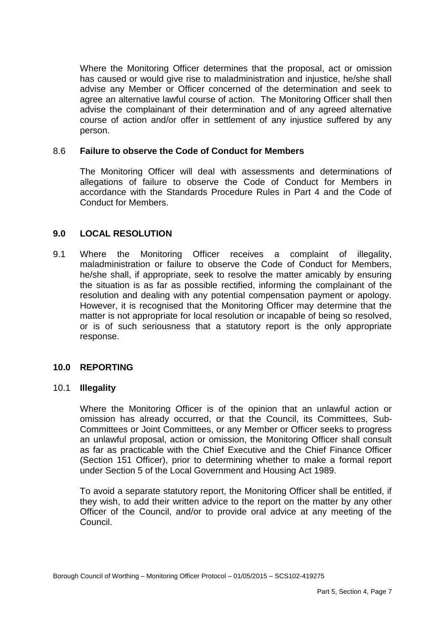Where the Monitoring Officer determines that the proposal, act or omission has caused or would give rise to maladministration and injustice, he/she shall advise any Member or Officer concerned of the determination and seek to agree an alternative lawful course of action. The Monitoring Officer shall then advise the complainant of their determination and of any agreed alternative course of action and/or offer in settlement of any injustice suffered by any person.

#### 8.6 **Failure to observe the Code of Conduct for Members**

 The Monitoring Officer will deal with assessments and determinations of allegations of failure to observe the Code of Conduct for Members in accordance with the Standards Procedure Rules in Part 4 and the Code of Conduct for Members.

## **9.0 LOCAL RESOLUTION**

 maladministration or failure to observe the Code of Conduct for Members, he/she shall, if appropriate, seek to resolve the matter amicably by ensuring the situation is as far as possible rectified, informing the complainant of the resolution and dealing with any potential compensation payment or apology. However, it is recognised that the Monitoring Officer may determine that the matter is not appropriate for local resolution or incapable of being so resolved, or is of such seriousness that a statutory report is the only appropriate 9.1 Where the Monitoring Officer receives a complaint of illegality, response.

## **10.0 REPORTING**

#### 10.1 **Illegality**

 Where the Monitoring Officer is of the opinion that an unlawful action or Committees or Joint Committees, or any Member or Officer seeks to progress an unlawful proposal, action or omission, the Monitoring Officer shall consult as far as practicable with the Chief Executive and the Chief Finance Officer (Section 151 Officer), prior to determining whether to make a formal report under Section 5 of the Local Government and Housing Act 1989. omission has already occurred, or that the Council, its Committees, Sub-

 To avoid a separate statutory report, the Monitoring Officer shall be entitled, if they wish, to add their written advice to the report on the matter by any other Officer of the Council, and/or to provide oral advice at any meeting of the Council.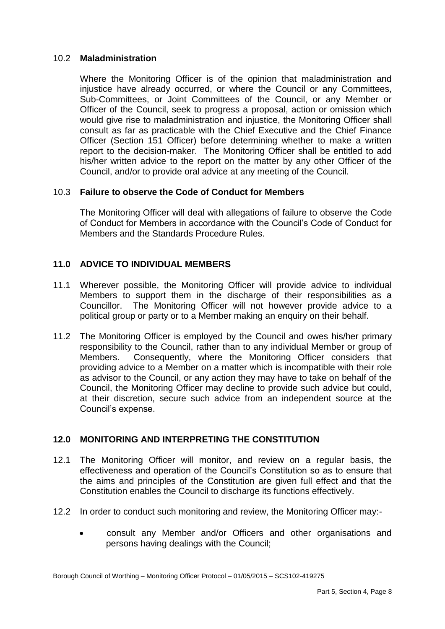## 10.2 **Maladministration**

 Where the Monitoring Officer is of the opinion that maladministration and injustice have already occurred, or where the Council or any Committees, Sub-Committees, or Joint Committees of the Council, or any Member or Officer of the Council, seek to progress a proposal, action or omission which would give rise to maladministration and injustice, the Monitoring Officer shall consult as far as practicable with the Chief Executive and the Chief Finance Officer (Section 151 Officer) before determining whether to make a written report to the decision-maker. The Monitoring Officer shall be entitled to add his/her written advice to the report on the matter by any other Officer of the Council, and/or to provide oral advice at any meeting of the Council.

# 10.3 **Failure to observe the Code of Conduct for Members**

 The Monitoring Officer will deal with allegations of failure to observe the Code of Conduct for Members in accordance with the Council's Code of Conduct for Members and the Standards Procedure Rules.

# **11.0 ADVICE TO INDIVIDUAL MEMBERS**

- 11.1 Wherever possible, the Monitoring Officer will provide advice to individual Members to support them in the discharge of their responsibilities as a Councillor. The Monitoring Officer will not however provide advice to a political group or party or to a Member making an enquiry on their behalf.
- 11.2 The Monitoring Officer is employed by the Council and owes his/her primary responsibility to the Council, rather than to any individual Member or group of providing advice to a Member on a matter which is incompatible with their role as advisor to the Council, or any action they may have to take on behalf of the Council, the Monitoring Officer may decline to provide such advice but could, at their discretion, secure such advice from an independent source at the Members. Consequently, where the Monitoring Officer considers that Council's expense.

# **12.0 MONITORING AND INTERPRETING THE CONSTITUTION**

- 12.1 The Monitoring Officer will monitor, and review on a regular basis, the effectiveness and operation of the Council's Constitution so as to ensure that the aims and principles of the Constitution are given full effect and that the Constitution enables the Council to discharge its functions effectively.
- 12.2 In order to conduct such monitoring and review, the Monitoring Officer may:-
	- consult any Member and/or Officers and other organisations and persons having dealings with the Council;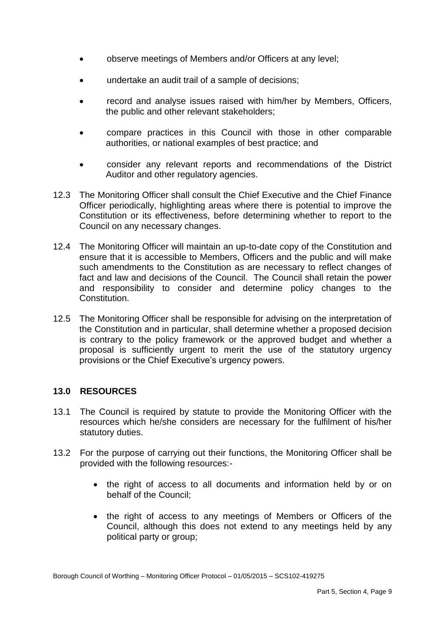- observe meetings of Members and/or Officers at any level;
- undertake an audit trail of a sample of decisions;
- record and analyse issues raised with him/her by Members, Officers, the public and other relevant stakeholders;
- compare practices in this Council with those in other comparable authorities, or national examples of best practice; and
- consider any relevant reports and recommendations of the District Auditor and other regulatory agencies.
- 12.3 The Monitoring Officer shall consult the Chief Executive and the Chief Finance Officer periodically, highlighting areas where there is potential to improve the Constitution or its effectiveness, before determining whether to report to the Council on any necessary changes.
- 12.4 The Monitoring Officer will maintain an up-to-date copy of the Constitution and ensure that it is accessible to Members, Officers and the public and will make such amendments to the Constitution as are necessary to reflect changes of fact and law and decisions of the Council. The Council shall retain the power and responsibility to consider and determine policy changes to the Constitution.
- 12.5 The Monitoring Officer shall be responsible for advising on the interpretation of the Constitution and in particular, shall determine whether a proposed decision is contrary to the policy framework or the approved budget and whether a proposal is sufficiently urgent to merit the use of the statutory urgency provisions or the Chief Executive's urgency powers.

# **13.0 RESOURCES**

- 13.1 The Council is required by statute to provide the Monitoring Officer with the resources which he/she considers are necessary for the fulfilment of his/her statutory duties.
- 13.2 For the purpose of carrying out their functions, the Monitoring Officer shall be provided with the following resources:-
	- the right of access to all documents and information held by or on behalf of the Council;
	- $\bullet$  Council, although this does not extend to any meetings held by any the right of access to any meetings of Members or Officers of the political party or group;